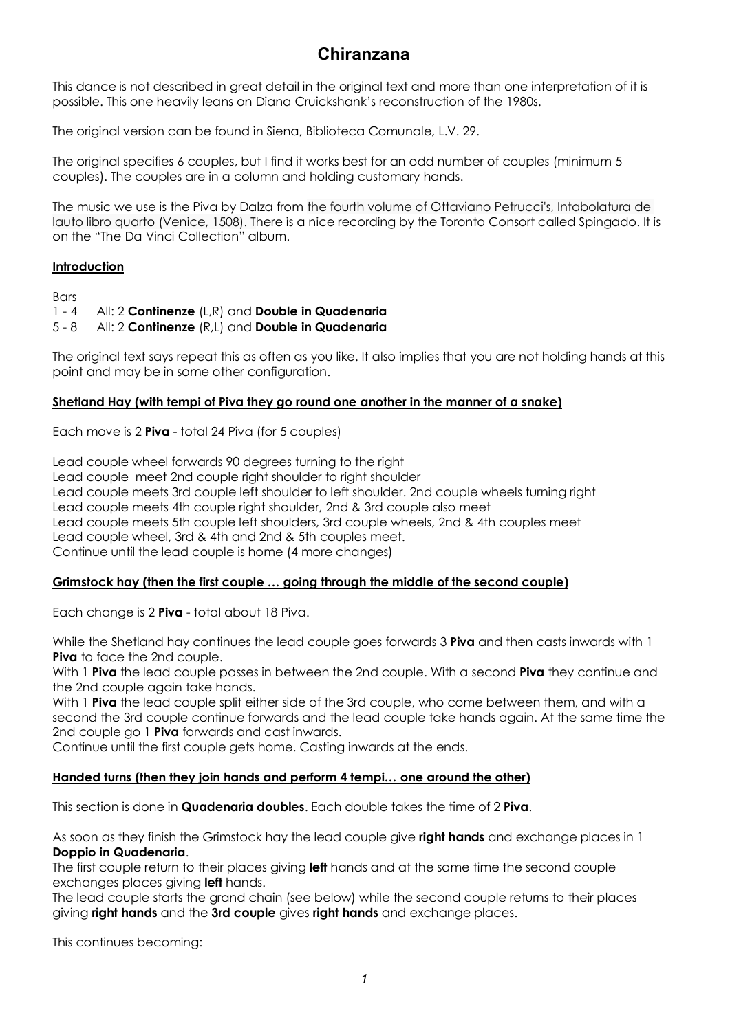# **Chiranzana**

This dance is not described in great detail in the original text and more than one interpretation of it is possible. This one heavily leans on Diana Cruickshank's reconstruction of the 1980s.

The original version can be found in Siena, Biblioteca Comunale, L.V. 29.

The original specifies 6 couples, but I find it works best for an odd number of couples (minimum 5 couples). The couples are in a column and holding customary hands.

The music we use is the Piva by Dalza from the fourth volume of Ottaviano Petrucci's, Intabolatura de lauto libro quarto (Venice, 1508). There is a nice recording by the Toronto Consort called Spingado. It is on the "The Da Vinci Collection" album.

## **Introduction**

**Bars** 

1 - 4 All: 2 **Continenze** (L,R) and **Double in Quadenaria**

5 - 8 All: 2 **Continenze** (R,L) and **Double in Quadenaria**

The original text says repeat this as often as you like. It also implies that you are not holding hands at this point and may be in some other configuration.

## **Shetland Hay (with tempi of Piva they go round one another in the manner of a snake)**

Each move is 2 **Piva** - total 24 Piva (for 5 couples)

Lead couple wheel forwards 90 degrees turning to the right Lead couple meet 2nd couple right shoulder to right shoulder Lead couple meets 3rd couple left shoulder to left shoulder. 2nd couple wheels turning right Lead couple meets 4th couple right shoulder, 2nd & 3rd couple also meet Lead couple meets 5th couple left shoulders, 3rd couple wheels, 2nd & 4th couples meet Lead couple wheel, 3rd & 4th and 2nd & 5th couples meet. Continue until the lead couple is home (4 more changes)

#### **Grimstock hay (then the first couple … going through the middle of the second couple)**

Each change is 2 **Piva** - total about 18 Piva.

While the Shetland hay continues the lead couple goes forwards 3 **Piva** and then casts inwards with 1 **Piva** to face the 2nd couple.

With 1 **Piva** the lead couple passes in between the 2nd couple. With a second **Piva** they continue and the 2nd couple again take hands.

With 1 **Piva** the lead couple split either side of the 3rd couple, who come between them, and with a second the 3rd couple continue forwards and the lead couple take hands again. At the same time the 2nd couple go 1 **Piva** forwards and cast inwards.

Continue until the first couple gets home. Casting inwards at the ends.

# **Handed turns (then they join hands and perform 4 tempi… one around the other)**

This section is done in **Quadenaria doubles**. Each double takes the time of 2 **Piva**.

As soon as they finish the Grimstock hay the lead couple give **right hands** and exchange places in 1 **Doppio in Quadenaria**.

The first couple return to their places giving **left** hands and at the same time the second couple exchanges places giving **left** hands.

The lead couple starts the grand chain (see below) while the second couple returns to their places giving **right hands** and the **3rd couple** gives **right hands** and exchange places.

This continues becoming: